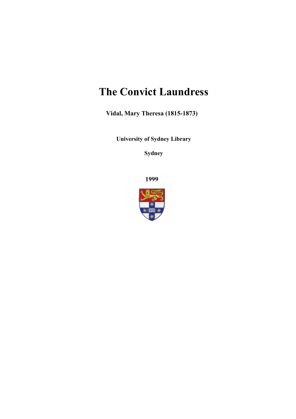# **The Convict Laundress**

**Vidal, Mary Theresa (1815-1873)**

**University of Sydney Library** 

**Sydney** 

**1999**

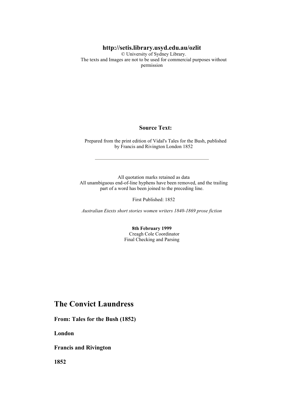#### **http://setis.library.usyd.edu.au/ozlit**

 © University of Sydney Library. The texts and Images are not to be used for commercial purposes without permission

#### **Source Text:**

 Prepared from the print edition of Vidal's Tales for the Bush, published by Francis and Rivington London 1852

 All quotation marks retained as data All unambiguous end-of-line hyphens have been removed, and the trailing part of a word has been joined to the preceding line.

First Published: 1852

*Australian Etexts short stories women writers 1840-1869 prose fiction*

**8th February 1999** Creagh Cole Coordinator Final Checking and Parsing

### **The Convict Laundress**

**From: Tales for the Bush (1852)** 

**London** 

**Francis and Rivington** 

**1852**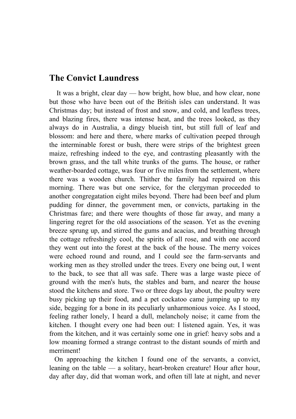## **The Convict Laundress**

 It was a bright, clear day — how bright, how blue, and how clear, none but those who have been out of the British isles can understand. It was Christmas day; but instead of frost and snow, and cold, and leafless trees, and blazing fires, there was intense heat, and the trees looked, as they always do in Australia, a dingy blueish tint, but still full of leaf and blossom: and here and there, where marks of cultivation peeped through the interminable forest or bush, there were strips of the brightest green maize, refreshing indeed to the eye, and contrasting pleasantly with the brown grass, and the tall white trunks of the gums. The house, or rather weather-boarded cottage, was four or five miles from the settlement, where there was a wooden church. Thither the family had repaired on this morning. There was but one service, for the clergyman proceeded to another congregatation eight miles beyond. There had been beef and plum pudding for dinner, the government men, or convicts, partaking in the Christmas fare; and there were thoughts of those far away, and many a lingering regret for the old associations of the season. Yet as the evening breeze sprung up, and stirred the gums and acacias, and breathing through the cottage refreshingly cool, the spirits of all rose, and with one accord they went out into the forest at the back of the house. The merry voices were echoed round and round, and I could see the farm-servants and working men as they strolled under the trees. Every one being out, I went to the back, to see that all was safe. There was a large waste piece of ground with the men's huts, the stables and barn, and nearer the house stood the kitchens and store. Two or three dogs lay about, the poultry were busy picking up their food, and a pet cockatoo came jumping up to my side, begging for a bone in its peculiarly unharmonious voice. As I stood, feeling rather lonely, I heard a dull, melancholy noise; it came from the kitchen. I thought every one had been out: I listened again. Yes, it was from the kitchen, and it was certainly some one in grief: heavy sobs and a low moaning formed a strange contrast to the distant sounds of mirth and merriment!

 On approaching the kitchen I found one of the servants, a convict, leaning on the table — a solitary, heart-broken creature! Hour after hour, day after day, did that woman work, and often till late at night, and never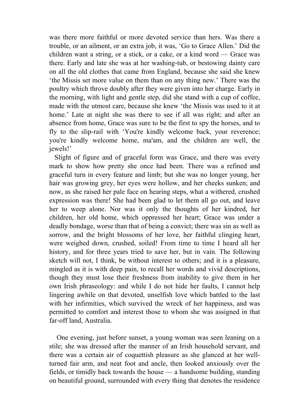was there more faithful or more devoted service than hers. Was there a trouble, or an ailment, or an extra job, it was, 'Go to Grace Allen.' Did the children want a string, or a stick, or a cake, or a kind word — Grace was there. Early and late she was at her washing-tub, or bestowing dainty care on all the old clothes that came from England, because she said she knew 'the Missis set more value on them than on any thing new.' There was the poultry which throve doubly after they were given into her charge. Early in the morning, with light and gentle step, did she stand with a cup of coffee, made with the utmost care, because she knew 'the Missis was used to it at home.' Late at night she was there to see if all was right; and after an absence from home, Grace was sure to be the first to spy the horses, and to fly to the slip-rail with 'You're kindly welcome back, your reverence; you're kindly welcome home, ma'am, and the children are well, the jewels!'

 Slight of figure and of graceful form was Grace, and there was every mark to show how pretty she once had been. There was a refined and graceful turn in every feature and limb; but she was no longer young, her hair was growing grey, her eyes were hollow, and her cheeks sunken; and now, as she raised her pale face on hearing steps, what a withered, crushed expression was there! She had been glad to let them all go out, and leave her to weep alone. Nor was it only the thoughts of her kindred, her children, her old home, which oppressed her heart; Grace was under a deadly bondage, worse than that of being a convict; there was sin as well as sorrow, and the bright blossoms of her love, her faithful clinging heart, were weighed down, crushed, soiled! From time to time I heard all her history, and for three years tried to save her, but in vain. The following sketch will not, I think, be without interest to others; and it is a pleasure, mingled as it is with deep pain, to recall her words and vivid descriptions, though they must lose their freshness from inability to give them in her own Irish phraseology: and while I do not hide her faults, I cannot help lingering awhile on that devoted, unselfish love which battled to the last with her infirmities, which survived the wreck of her happiness, and was permitted to comfort and interest those to whom she was assigned in that far-off land, Australia.

 One evening, just before sunset, a young woman was seen leaning on a stile; she was dressed after the manner of an Irish household servant, and there was a certain air of coquettish pleasure as she glanced at her wellturned fair arm, and neat foot and ancle, then looked anxiously over the fields, or timidly back towards the house — a handsome building, standing on beautiful ground, surrounded with every thing that denotes the residence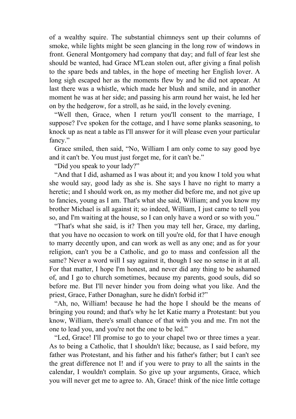of a wealthy squire. The substantial chimneys sent up their columns of smoke, while lights might be seen glancing in the long row of windows in front. General Montgomery had company that day; and full of fear lest she should be wanted, had Grace M'Lean stolen out, after giving a final polish to the spare beds and tables, in the hope of meeting her English lover. A long sigh escaped her as the moments flew by and he did not appear. At last there was a whistle, which made her blush and smile, and in another moment he was at her side; and passing his arm round her waist, he led her on by the hedgerow, for a stroll, as he said, in the lovely evening.

 "Well then, Grace, when I return you'll consent to the marriage, I suppose? I've spoken for the cottage, and I have some planks seasoning, to knock up as neat a table as I'll answer for it will please even your particular fancy."

 Grace smiled, then said, "No, William I am only come to say good bye and it can't be. You must just forget me, for it can't be."

"Did you speak to your lady?"

 "And that I did, ashamed as I was about it; and you know I told you what she would say, good lady as she is. She says I have no right to marry a heretic; and I should work on, as my mother did before me, and not give up to fancies, young as I am. That's what she said, William; and you know my brother Michael is all against it; so indeed, William, I just came to tell you so, and I'm waiting at the house, so I can only have a word or so with you."

 "That's what she said, is it? Then you may tell her, Grace, my darling, that you have no occasion to work on till you're old, for that I have enough to marry decently upon, and can work as well as any one; and as for your religion, can't you be a Catholic, and go to mass and confession all the same? Never a word will I say against it, though I see no sense in it at all. For that matter, I hope I'm honest, and never did any thing to be ashamed of, and I go to church sometimes, because my parents, good souls, did so before me. But I'll never hinder you from doing what you like. And the priest, Grace, Father Donaghan, sure he didn't forbid it?"

 "Ah, no, William! because he had the hope I should be the means of bringing you round; and that's why he let Katie marry a Protestant: but you know, William, there's small chance of that with you and me. I'm not the one to lead you, and you're not the one to be led."

 "Led, Grace! I'll promise to go to your chapel two or three times a year. As to being a Catholic, that I shouldn't like; because, as I said before, my father was Protestant, and his father and his father's father; but I can't see the great difference not I! and if you were to pray to all the saints in the calendar, I wouldn't complain. So give up your arguments, Grace, which you will never get me to agree to. Ah, Grace! think of the nice little cottage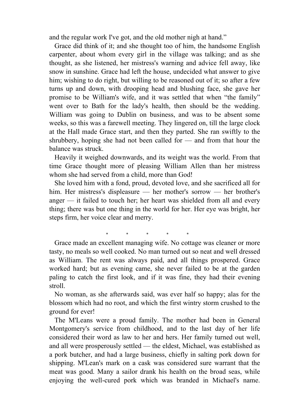and the regular work I've got, and the old mother nigh at hand."

 Grace did think of it; and she thought too of him, the handsome English carpenter, about whom every girl in the village was talking; and as she thought, as she listened, her mistress's warning and advice fell away, like snow in sunshine. Grace had left the house, undecided what answer to give him; wishing to do right, but willing to be reasoned out of it; so after a few turns up and down, with drooping head and blushing face, she gave her promise to be William's wife, and it was settled that when "the family" went over to Bath for the lady's health, then should be the wedding. William was going to Dublin on business, and was to be absent some weeks, so this was a farewell meeting. They lingered on, till the large clock at the Hall made Grace start, and then they parted. She ran swiftly to the shrubbery, hoping she had not been called for — and from that hour the balance was struck.

 Heavily it weighed downwards, and its weight was the world. From that time Grace thought more of pleasing William Allen than her mistress whom she had served from a child, more than God!

 She loved him with a fond, proud, devoted love, and she sacrificed all for him. Her mistress's displeasure — her mother's sorrow — her brother's anger — it failed to touch her; her heart was shielded from all and every thing; there was but one thing in the world for her. Her eye was bright, her steps firm, her voice clear and merry.

\* \* \* \* \*

 Grace made an excellent managing wife. No cottage was cleaner or more tasty, no meals so well cooked. No man turned out so neat and well dressed as William. The rent was always paid, and all things prospered. Grace worked hard; but as evening came, she never failed to be at the garden paling to catch the first look, and if it was fine, they had their evening stroll.

 No woman, as she afterwards said, was ever half so happy; alas for the blossom which had no root, and which the first wintry storm crushed to the ground for ever!

 The M'Leans were a proud family. The mother had been in General Montgomery's service from childhood, and to the last day of her life considered their word as law to her and hers. Her family turned out well, and all were prosperously settled — the eldest, Michael, was established as a pork butcher, and had a large business, chiefly in salting pork down for shipping. M'Lean's mark on a cask was considered sure warrant that the meat was good. Many a sailor drank his health on the broad seas, while enjoying the well-cured pork which was branded in Michael's name.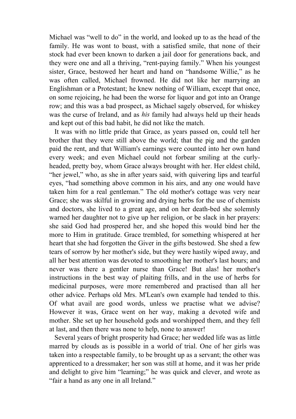Michael was "well to do" in the world, and looked up to as the head of the family. He was wont to boast, with a satisfied smile, that none of their stock had ever been known to darken a jail door for generations back, and they were one and all a thriving, "rent-paying family." When his youngest sister, Grace, bestowed her heart and hand on "handsome Willie," as he was often called, Michael frowned. He did not like her marrying an Englishman or a Protestant; he knew nothing of William, except that once, on some rejoicing, he had been the worse for liquor and got into an Orange row; and this was a bad prospect, as Michael sagely observed, for whiskey was the curse of Ireland, and as *his* family had always held up their heads and kept out of this bad habit, he did not like the match.

 It was with no little pride that Grace, as years passed on, could tell her brother that they were still above the world; that the pig and the garden paid the rent, and that William's earnings were counted into her own hand every week; and even Michael could not forbear smiling at the curlyheaded, pretty boy, whom Grace always brought with her. Her eldest child, "her jewel," who, as she in after years said, with quivering lips and tearful eyes, "had something above common in his airs, and any one would have taken him for a real gentleman." The old mother's cottage was very near Grace; she was skilful in growing and drying herbs for the use of chemists and doctors, she lived to a great age, and on her death-bed she solemnly warned her daughter not to give up her religion, or be slack in her prayers: she said God had prospered her, and she hoped this would bind her the more to Him in gratitude. Grace trembled, for something whispered at her heart that she had forgotten the Giver in the gifts bestowed. She shed a few tears of sorrow by her mother's side, but they were hastily wiped away, and all her best attention was devoted to smoothing her mother's last hours; and never was there a gentler nurse than Grace! But alas! her mother's instructions in the best way of plaiting frills, and in the use of herbs for medicinal purposes, were more remembered and practised than all her other advice. Perhaps old Mrs. M'Lean's own example had tended to this. Of what avail are good words, unless we practise what we advise? However it was, Grace went on her way, making a devoted wife and mother. She set up her household gods and worshipped them, and they fell at last, and then there was none to help, none to answer!

 Several years of bright prosperity had Grace; her wedded life was as little marred by clouds as is possible in a world of trial. One of her girls was taken into a respectable family, to be brought up as a servant; the other was apprenticed to a dressmaker; her son was still at home, and it was her pride and delight to give him "learning;" he was quick and clever, and wrote as "fair a hand as any one in all Ireland."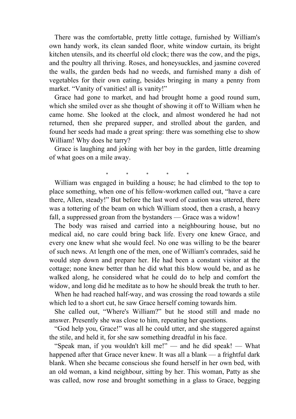There was the comfortable, pretty little cottage, furnished by William's own handy work, its clean sanded floor, white window curtain, its bright kitchen utensils, and its cheerful old clock; there was the cow, and the pigs, and the poultry all thriving. Roses, and honeysuckles, and jasmine covered the walls, the garden beds had no weeds, and furnished many a dish of vegetables for their own eating, besides bringing in many a penny from market. "Vanity of vanities! all is vanity!"

 Grace had gone to market, and had brought home a good round sum, which she smiled over as she thought of showing it off to William when he came home. She looked at the clock, and almost wondered he had not returned, then she prepared supper, and strolled about the garden, and found her seeds had made a great spring: there was something else to show William! Why does he tarry?

 Grace is laughing and joking with her boy in the garden, little dreaming of what goes on a mile away.

\* \* \* \* \*

 William was engaged in building a house; he had climbed to the top to place something, when one of his fellow-workmen called out, "have a care there, Allen, steady!" But before the last word of caution was uttered, there was a tottering of the beam on which William stood, then a crash, a heavy fall, a suppressed groan from the bystanders — Grace was a widow!

 The body was raised and carried into a neighbouring house, but no medical aid, no care could bring back life. Every one knew Grace, and every one knew what she would feel. No one was willing to be the bearer of such news. At length one of the men, one of William's comrades, said he would step down and prepare her. He had been a constant visitor at the cottage; none knew better than he did what this blow would be, and as he walked along, he considered what he could do to help and comfort the widow, and long did he meditate as to how he should break the truth to her.

 When he had reached half-way, and was crossing the road towards a stile which led to a short cut, he saw Grace herself coming towards him.

 She called out, "Where's William?" but he stood still and made no answer. Presently she was close to him, repeating her questions.

 "God help you, Grace!" was all he could utter, and she staggered against the stile, and held it, for she saw something dreadful in his face.

 "Speak man, if you wouldn't kill me!" — and he did speak! — What happened after that Grace never knew. It was all a blank — a frightful dark blank. When she became conscious she found herself in her own bed, with an old woman, a kind neighbour, sitting by her. This woman, Patty as she was called, now rose and brought something in a glass to Grace, begging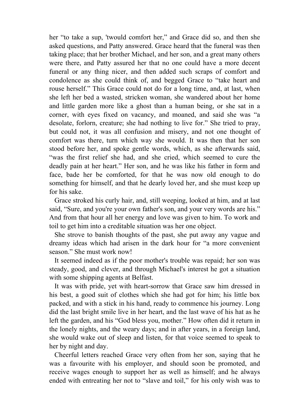her "to take a sup, 'twould comfort her," and Grace did so, and then she asked questions, and Patty answered. Grace heard that the funeral was then taking place; that her brother Michael, and her son, and a great many others were there, and Patty assured her that no one could have a more decent funeral or any thing nicer, and then added such scraps of comfort and condolence as she could think of, and begged Grace to "take heart and rouse herself." This Grace could not do for a long time, and, at last, when she left her bed a wasted, stricken woman, she wandered about her home and little garden more like a ghost than a human being, or she sat in a corner, with eyes fixed on vacancy, and moaned, and said she was "a desolate, forlorn, creature; she had nothing to live for." She tried to pray, but could not, it was all confusion and misery, and not one thought of comfort was there, turn which way she would. It was then that her son stood before her, and spoke gentle words, which, as she afterwards said, "was the first relief she had, and she cried, which seemed to cure the deadly pain at her heart." Her son, and he was like his father in form and face, bade her be comforted, for that he was now old enough to do something for himself, and that he dearly loved her, and she must keep up for his sake.

 Grace stroked his curly hair, and, still weeping, looked at him, and at last said, "Sure, and you're your own father's son, and your very words are his." And from that hour all her energy and love was given to him. To work and toil to get him into a creditable situation was her one object.

 She strove to banish thoughts of the past, she put away any vague and dreamy ideas which had arisen in the dark hour for "a more convenient season." She must work now!

 It seemed indeed as if the poor mother's trouble was repaid; her son was steady, good, and clever, and through Michael's interest he got a situation with some shipping agents at Belfast.

 It was with pride, yet with heart-sorrow that Grace saw him dressed in his best, a good suit of clothes which she had got for him; his little box packed, and with a stick in his hand, ready to commence his journey. Long did the last bright smile live in her heart, and the last wave of his hat as he left the garden, and his "God bless you, mother." How often did it return in the lonely nights, and the weary days; and in after years, in a foreign land, she would wake out of sleep and listen, for that voice seemed to speak to her by night and day.

 Cheerful letters reached Grace very often from her son, saying that he was a favourite with his employer, and should soon be promoted, and receive wages enough to support her as well as himself; and he always ended with entreating her not to "slave and toil," for his only wish was to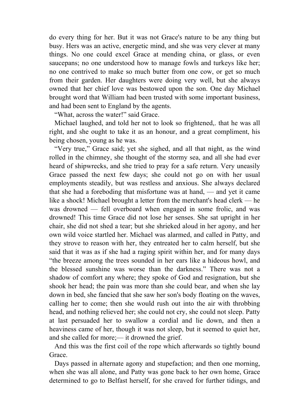do every thing for her. But it was not Grace's nature to be any thing but busy. Hers was an active, energetic mind, and she was very clever at many things. No one could excel Grace at mending china, or glass, or even saucepans; no one understood how to manage fowls and turkeys like her; no one contrived to make so much butter from one cow, or get so much from their garden. Her daughters were doing very well, but she always owned that her chief love was bestowed upon the son. One day Michael brought word that William had been trusted with some important business, and had been sent to England by the agents.

"What, across the water!" said Grace.

 Michael laughed, and told her not to look so frightened,. that he was all right, and she ought to take it as an honour, and a great compliment, his being chosen, young as he was.

 "Very true," Grace said; yet she sighed, and all that night, as the wind rolled in the chimney, she thought of the stormy sea, and all she had ever heard of shipwrecks, and she tried to pray for a safe return. Very uneasily Grace passed the next few days; she could not go on with her usual employments steadily, but was restless and anxious. She always declared that she had a foreboding that misfortune was at hand, — and yet it came like a shock! Michael brought a letter from the merchant's head clerk — he was drowned — fell overboard when engaged in some frolic, and was drowned! This time Grace did not lose her senses. She sat upright in her chair, she did not shed a tear; but she shrieked aloud in her agony, and her own wild voice startled her. Michael was alarmed, and called in Patty, and they strove to reason with her, they entreated her to calm herself, but she said that it was as if she had a raging spirit within her, and for many days "the breeze among the trees sounded in her ears like a hideous howl, and the blessed sunshine was worse than the darkness." There was not a shadow of comfort any where; they spoke of God and resignation, but she shook her head; the pain was more than she could bear, and when she lay down in bed, she fancied that she saw her son's body floating on the waves, calling her to come; then she would rush out into the air with throbbing head, and nothing relieved her; she could not cry, she could not sleep. Patty at last persuaded her to swallow a cordial and lie down, and then a heaviness came of her, though it was not sleep, but it seemed to quiet her, and she called for more;— it drowned the grief.

 And this was the first coil of the rope which afterwards so tightly bound Grace.

 Days passed in alternate agony and stupefaction; and then one morning, when she was all alone, and Patty was gone back to her own home, Grace determined to go to Belfast herself, for she craved for further tidings, and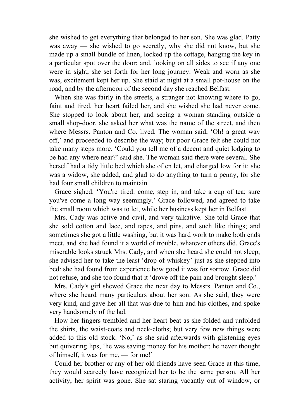she wished to get everything that belonged to her son. She was glad. Patty was away — she wished to go secretly, why she did not know, but she made up a small bundle of linen, locked up the cottage, hanging the key in a particular spot over the door; and, looking on all sides to see if any one were in sight, she set forth for her long journey. Weak and worn as she was, excitement kept her up. She staid at night at a small pot-house on the road, and by the afternoon of the second day she reached Belfast.

 When she was fairly in the streets, a stranger not knowing where to go, faint and tired, her heart failed her, and she wished she had never come. She stopped to look about her, and seeing a woman standing outside a small shop-door, she asked her what was the name of the street, and then where Messrs. Panton and Co. lived. The woman said, 'Oh! a great way off,' and proceeded to describe the way; but poor Grace felt she could not take many steps more. 'Could you tell me of a decent and quiet lodging to be had any where near?' said she. The woman said there were several. She herself had a tidy little bed which she often let, and charged low for it: she was a widow, she added, and glad to do anything to turn a penny, for she had four small children to maintain.

 Grace sighed. 'You're tired: come, step in, and take a cup of tea; sure you've come a long way seemingly.' Grace followed, and agreed to take the small room which was to let, while her business kept her in Belfast.

 Mrs. Cady was active and civil, and very talkative. She told Grace that she sold cotton and lace, and tapes, and pins, and such like things; and sometimes she got a little washing, but it was hard work to make both ends meet, and she had found it a world of trouble, whatever others did. Grace's miserable looks struck Mrs. Cady, and when she heard she could not sleep, she advised her to take the least 'drop of whiskey' just as she stepped into bed: she had found from experience how good it was for sorrow. Grace did not refuse, and she too found that it 'drove off the pain and brought sleep.'

 Mrs. Cady's girl shewed Grace the next day to Messrs. Panton and Co., where she heard many particulars about her son. As she said, they were very kind, and gave her all that was due to him and his clothes, and spoke very handsomely of the lad.

 How her fingers trembled and her heart beat as she folded and unfolded the shirts, the waist-coats and neck-cloths; but very few new things were added to this old stock. 'No,' as she said afterwards with glistening eyes but quivering lips, 'he was saving money for his mother; he never thought of himself, it was for me, — for me!'

 Could her brother or any of her old friends have seen Grace at this time, they would scarcely have recognized her to be the same person. All her activity, her spirit was gone. She sat staring vacantly out of window, or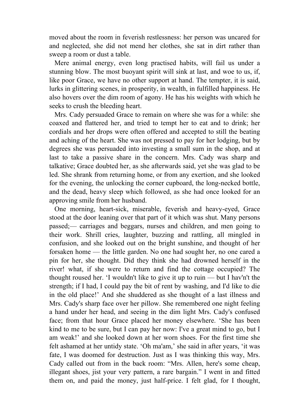moved about the room in feverish restlessness: her person was uncared for and neglected, she did not mend her clothes, she sat in dirt rather than sweep a room or dust a table.

 Mere animal energy, even long practised habits, will fail us under a stunning blow. The most buoyant spirit will sink at last, and woe to us, if, like poor Grace, we have no other support at hand. The tempter, it is said, lurks in glittering scenes, in prosperity, in wealth, in fulfilled happiness. He also hovers over the dim room of agony. He has his weights with which he seeks to crush the bleeding heart.

 Mrs. Cady persuaded Grace to remain on where she was for a while: she coaxed and flattered her, and tried to tempt her to eat and to drink; her cordials and her drops were often offered and accepted to still the beating and aching of the heart. She was not pressed to pay for her lodging, but by degrees she was persuaded into investing a small sum in the shop, and at last to take a passive share in the concern. Mrs. Cady was sharp and talkative; Grace doubted her, as she afterwards said, yet she was glad to be led. She shrank from returning home, or from any exertion, and she looked for the evening, the unlocking the corner cupboard, the long-necked bottle, and the dead, heavy sleep which followed, as she had once looked for an approving smile from her husband.

 One morning, heart-sick, miserable, feverish and heavy-eyed, Grace stood at the door leaning over that part of it which was shut. Many persons passed;— carriages and beggars, nurses and children, and men going to their work. Shrill cries, laughter, buzzing and rattling, all mingled in confusion, and she looked out on the bright sunshine, and thought of her forsaken home — the little garden. No one had sought her, no one cared a pin for her, she thought. Did they think she had drowned herself in the river! what, if she were to return and find the cottage occupied? The thought roused her. 'I wouldn't like to give it up to ruin — but I hav'n't the strength; if I had, I could pay the bit of rent by washing, and I'd like to die in the old place!' And she shuddered as she thought of a last illness and Mrs. Cady's sharp face over her pillow. She remembered one night feeling a hand under her head, and seeing in the dim light Mrs. Cady's confused face; from that hour Grace placed her money elsewhere. 'She has been kind to me to be sure, but I can pay her now: I've a great mind to go, but I am weak!' and she looked down at her worn shoes. For the first time she felt ashamed at her untidy state. 'Oh ma'am,' she said in after years, 'it was fate, I was doomed for destruction. Just as I was thinking this way, Mrs. Cady called out from in the back room: "Mrs. Allen, here's some cheap, illegant shoes, jist your very pattern, a rare bargain." I went in and fitted them on, and paid the money, just half-price. I felt glad, for I thought,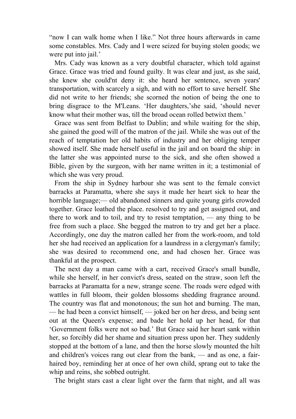"now I can walk home when I like." Not three hours afterwards in came some constables. Mrs. Cady and I were seized for buying stolen goods; we were put into jail.'

 Mrs. Cady was known as a very doubtful character, which told against Grace. Grace was tried and found guilty. It was clear and just, as she said, she knew she could'nt deny it: she heard her sentence, seven years' transportation, with scarcely a sigh, and with no effort to save herself. She did not write to her friends; she scorned the notion of being the one to bring disgrace to the M'Leans. 'Her daughters,'she said, 'should never know what their mother was, till the broad ocean rolled betwixt them.'

 Grace was sent from Belfast to Dublin; and while waiting for the ship, she gained the good will of the matron of the jail. While she was out of the reach of temptation her old habits of industry and her obliging temper showed itself. She made herself useful in the jail and on board the ship: in the latter she was appointed nurse to the sick, and she often showed a Bible, given by the surgeon, with her name written in it; a testimonial of which she was very proud.

 From the ship in Sydney harbour she was sent to the female convict barracks at Paramatta, where she says it made her heart sick to hear the horrible language;— old abandoned sinners and quite young girls crowded together. Grace loathed the place. resolved to try and get assigned out, and there to work and to toil, and try to resist temptation, — any thing to be free from such a place. She begged the matron to try and get her a place. Accordingly, one day the matron called her from the work-room, and told her she had received an application for a laundress in a clergyman's family; she was desired to recommend one, and had chosen her. Grace was thankful at the prospect.

 The next day a man came with a cart, received Grace's small bundle, while she herself, in her convict's dress, seated on the straw, soon left the barracks at Paramatta for a new, strange scene. The roads were edged with wattles in full bloom, their golden blossoms shedding fragrance around. The country was flat and monotonous; the sun hot and burning. The man, — he had been a convict himself, — joked her on her dress, and being sent out at the Queen's expense; and bade her hold up her head, for that 'Government folks were not so bad.' But Grace said her heart sank within her, so forcibly did her shame and situation press upon her. They suddenly stopped at the bottom of a lane, and then the horse slowly mounted the hilt and children's voices rang out clear from the bank, — and as one, a fairhaired boy, reminding her at once of her own child, sprang out to take the whip and reins, she sobbed outright.

The bright stars cast a clear light over the farm that night, and all was